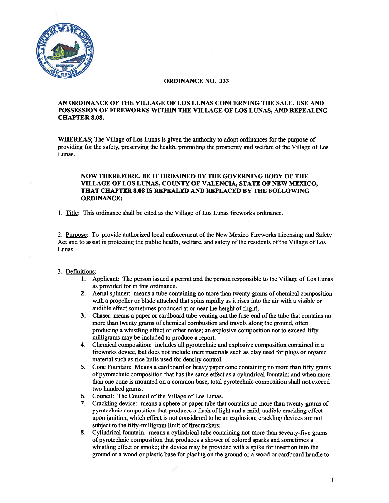

# ORDINANCE NO. 333

## AN ORDINANCE OF THE VILLAGE OF LOS LUNAS CONCERNING THE SALE, USE AND POSSESSION OF FIREWORKS WITHIN THE VILLAGE OF LOS LUNAS, AND REPEALING CHAPTER 8.08.

WhEREAS; The Village of Los Lunas is given the authority to adopt ordinances for the purpose of providing for the safety, preserving the health, promoting the prosperity and welfare of the Village of Los Lunas.

# NOW THEREFORE, BE IT ORDAINED BY THE GOVERNING BODY OF THE VILLAGE OF LOS LUNAS, COUNTY OF VALENCIA, STATE OF NEW MEXICO, THAT CHAPTER 8.08 IS REPEALED AND REPLACED BY THE FOLLOWING ORDINANCE:

1. Title: This ordinance shall be cited as the Village of Los Lunas fireworks ordinance.

2. Purpose: To provide authorized local enforcement of the New Mexico Fireworks Licensing and Safety Act and to assist in protecting the public health, welfare, and safety of the residents of the Village of Los Lunas.

### 3. Definitions:

- 1. Applicant: The person issued <sup>a</sup> permit and the person responsible to the Village of Los Lunas as provided for in this ordinance.
- 2. Aerial spinner: means <sup>a</sup> tube containing no more than twenty grams of chemical composition with <sup>a</sup> propeller or blade attached that spins rapidly as it rises into the air with <sup>a</sup> visible or audible effect sometimes produced at or near the height of flight;
- 3. Chaser: means <sup>a</sup> paper or cardboard tube venting out the fuse end ofthe tube that contains no more than twenty grams of chemical combustion and travels along the ground, often producing <sup>a</sup> whistling effect or other noise; an explosive composition not to exceed fifty milligrams may be included to produce <sup>a</sup> report.
- 4. Chemical composition: includes all pyrotechnic and explosive composition contained in <sup>a</sup> fireworks device, but does not include inert materials such as clay used for plugs or organic material such as rice hulls used for density control.
- 5. Cone Fountain: Means <sup>a</sup> cardboard or heavy paper cone containing no more than fifty grams of pyrotechnic composition that has the same effect as <sup>a</sup> cylindrical fountain; and when more than one cone is mounted on <sup>a</sup> common base, total pyrotechnic composition shall not exceed two hundred grams.
- 6. Council: The Council of the Village of Los Lunas.
- 7. Crackling device: means <sup>a</sup> sphere or paper tube that contains no more than twenty grams of pyrotechnic composition that produces <sup>a</sup> flash of light and <sup>a</sup> mild, audible crackling effect upon ignition, which effect is not considered to be an explosion; crackling devices are not subject to the fifty-milligram limit of firecrackers;
- 8. Cylindrical fountain: means <sup>a</sup> cylindrical tube containing not more than seventy-five grams of pyrotechnic composition that produces <sup>a</sup> shower of colored sparks and sometimes <sup>a</sup> whistling effect or smoke; the device may be provided with <sup>a</sup> spike for insertion into the ground or <sup>a</sup> wood or plastic base for placing on the ground or <sup>a</sup> wood or cardboard handle to

1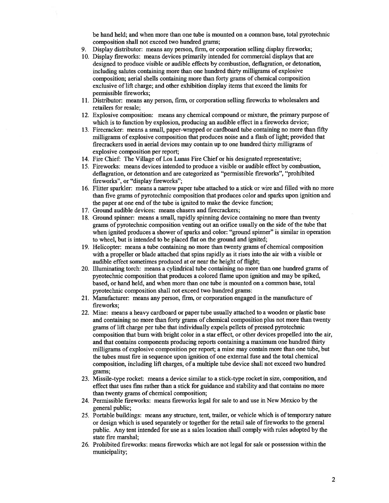be hand held; and when more than one tube is mounted on <sup>a</sup> common base, total pyrotechnic composition shall not exceed two hundred grams;

- 9. Display distributor: means any person, firm, or corporation selling display fireworks;
- 10. Display fireworks: means devices primarily intended for commercial displays that are designed to produce visible or audible effects by combustion, deflagration, or detonation, including salutes containing more than one hundred thirty milligrams of explosive composition; aerial shells containing more than forty grams of chemical composition exclusive of lift charge; and other exhibition display items that exceed the limits for permissible fireworks;
- 11. Distributor: means any person, firm, or corporation selling fireworks to wholesalers and retailers for resale;
- 12. Explosive composition: means any chemical compound or mixture, the primary purpose of which is to function by explosion, producing an audible effect in <sup>a</sup> fireworks device;
- 13. Firecracker: means <sup>a</sup> small, paper-wrapped or cardboard tube containing no more than fifty milligrams of explosive composition that produces noise and a flash of light; provided that firecrackers used in aerial devices may contain up to one hundred thirty milligrams of explosive composition per report;
- 14. Fire Chief: The Village of Los Lunas Fire Chief or his designated representative;
- 15. Fireworks: means devices intended to produce <sup>a</sup> visible or audible effect by combustion, deflagration, or detonation and are categorized as "permissible fireworks", "prohibited fireworks", or "display fireworks";
- 16. Flitter sparkler: means <sup>a</sup> narrow paper tube attached to <sup>a</sup> stick or wire and filled with no more than five grams of pyrotechnic composition that produces color and sparks upon ignition and the paper at one end of the tube is ignited to make the device function;
- 17. Ground audible devices: means chasers and firecrackers;
- 18. Ground spinner: means <sup>a</sup> small, rapidly spinning device containing no more than twenty grams of pyrotechnic composition venting out an orifice usually on the side of the tube that when ignited produces <sup>a</sup> shower of sparks and color: "ground spinner" is similar in operation to wheel, but is intended to be placed flat on the ground and ignited;
- 19. Helicopter: means <sup>a</sup> tube contaming no more than twenty grams of chemical composition with <sup>a</sup> propeller or blade attached that spins rapidly as it rises into the air with <sup>a</sup> visible or audible effect sometimes produced at or near the height of flight;
- 20. Illuminating torch: means <sup>a</sup> cylindrical tube containing no more than one hundred grams of pyrotechnic composition that produces <sup>a</sup> colored flame upon ignition and may be spiked, based, or hand held, and when more than one tube is mounted on <sup>a</sup> common base, total pyrotechnic composition shall not exceed two hundred grams:
- 21. Manufacturer: means any person, firm, or corporation engaged in the manufacture of fireworks;
- 22. Mine: means <sup>a</sup> heavy cardboard or paper tube usually attached to <sup>a</sup> wooden or plastic base and containing no more than forty grams of chemical composition plus not more than twenty grams of lift charge per tube that individually expels pellets of pressed pyrotechnic composition that bum with bright color in <sup>a</sup> star effect, or other devices propelled into the air, and that contains components producing reports containing <sup>a</sup> maximum one hundred thirty milligrams of explosive composition per report; <sup>a</sup> mine may contain more than one tube, but the tubes must fire in sequence upon ignition of one extemal fuse and the total chemical composition, including lift charges, of <sup>a</sup> multiple tube device shall not exceed two hundred grams;
- 23. Missile-type rocket: means <sup>a</sup> device similar to <sup>a</sup> stick-type rocket in size, composition, and effect that uses fms rather than <sup>a</sup> stick for guidance and stability and that contains no more than twenty grams of chemical composition;
- 24. Permissible fireworks: means fireworks legal for sale to and use in New Mexico by the general public;
- 25. Portable buildings: means any structure, tent, trailer, or vehicle which is oftemporary nature or design which is used separately or together for the retail sale of fireworks to the general public. Any tent intended for use as <sup>a</sup> sales location shall comply with rules adopted by the state fire marshal;
- 26. Prohibited fireworks: means fireworks which are not legal for sale or possession within the municipality;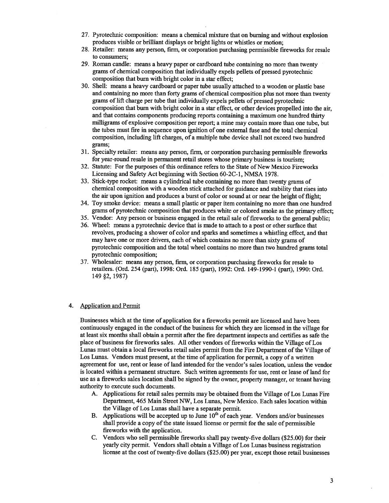- 27. Pyrotechnic composition: means <sup>a</sup> chemical mixture that on buming and without explosion produces visible or brilliant displays or bright lights or whistles or motion;
- 28. Retailer: means any person, firm, or corporation purchasing permissible fireworks for resale to consumers;
- 29. Roman candle: means <sup>a</sup> heavy paper or cardboard tube containing no more than twenty grams of chemical composition that individually expels pellets of pressed pyrotechnic composition that bum with bright color in <sup>a</sup> star effect;
- 30. Shell: means <sup>a</sup> heavy cardboard or paper tube usually attached to <sup>a</sup> wooden or plastic base and containing no more than forty grams of chemical composition <sup>p</sup>lus not more than twenty grams of lift charge per tube that individually expels pellets of pressed pyrotechnic composition that bum with bright color in <sup>a</sup> star effect, or other devices propelled into the air, and that contains components producing reports containing <sup>a</sup> maximum one hundred thirty milligrams of explosive composition per report; <sup>a</sup> mine may contain more than one tube, but the tubes must fire in sequence upon ignition of one extemal fuse and the total chemical composition, including lift charges, of <sup>a</sup> multiple tube device shall not exceed two hundred grams;
- 31. Specialty retailer: means any person, firm, or corporation purchasing permissible fireworks for year-round resale in permanen<sup>t</sup> retail stores whose primary business is tourism;
- 32. Statute: For the purposes ofthis ordinance refers to the State of New Mexico Fireworks Licensing and Safety Act beginning with Section 60-2C-1, NMSA 1978.
- 33. Stick-type rocket: means <sup>a</sup> cylindrical tube containing no more than twenty grams of chemical composition with <sup>a</sup> wooden stick attached for guidance and stability that rises into the air upon ignition and produces <sup>a</sup> burst of color or sound at or near the height of flight;
- 34. Toy smoke device: means <sup>a</sup> small plastic or paper item containing no more than one hundred grams of pyrotechnic composition that produces white or colored smoke as the primary effect;
- 35. Vendor: Any person or business engaged in the retail sale of fireworks to the general public;
- 36. Wheel: means <sup>a</sup> pyroteclmic device that is made to attach to <sup>a</sup> pos<sup>t</sup> or other surface that revolves, producing <sup>a</sup> shower of color and sparks and sometimes <sup>a</sup> whistling effect, and that may have one or more drivers, each of which contains no more than sixty grams of pyrotechnic composition and the total wheel contains no more than two hundred grams total pyrotechnic composition;
- 37. Wholesaler: means any person, firm, or corporation purchasing fireworks for resale to retailers. (Ord. 254 (part), 1998: Ord. 185 (part), 1992: Ord. 149-1990-1 (part), 1990: Ord. 149 §2, 1987)

### 4. Application and Permit

Businesses which at the time of application for <sup>a</sup> fireworks permit are licensed and have been continuously engaged in the conduct of the business for which they are licensed in the village for at least six months shall obtain <sup>a</sup> pennit after the fire department inspects and certifies as safe the <sup>p</sup>lace of business for fireworks sales. All other vendors of fireworks within the Village of Los Lunas must obtain a local fireworks retail sales permit from the Fire Department of the Village of Los Lunas. Vendors must present, at the time of application for permit, <sup>a</sup> copy of <sup>a</sup> written agreemen<sup>t</sup> for use, rent or lease of land intended for the vendor's sales location, unless the vendor is located within <sup>a</sup> permanen<sup>t</sup> structure. Such written agreements for use, rent or lease of land for use as <sup>a</sup> fireworks sales location shall be signed by the owner, property manager, or tenant having authority to execute such documents.

- A. Applications for retail sales permits may be obtained from the Village of Los Lunas Fire Department, 465 Main Street NW, Los Lunas, New Mexico. Each sales location within the Village of Los Lunas shall have <sup>a</sup> separate permit.
- B. Applications will be accepted up to June  $10^{th}$  of each year. Vendors and/or businesses shall provide a copy of the state issued license or permit for the sale of permissible fireworks with the application.
- C. Vendors who sell permissible fireworks shall pay twenty-five dollars (\$25.00) for their yearly city permit. Vendors shall obtain <sup>a</sup> Village of Los Lunas business registration license at the cost of twenty-five dollars (\$25.00) per year, except those retail businesses

3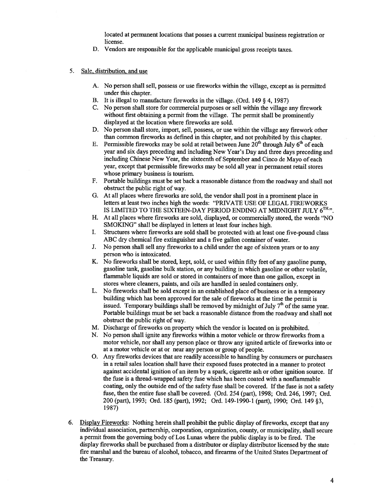located at permanen<sup>t</sup> locations that posses <sup>a</sup> current municipal business registration or license.

- D. Vendors are responsible for the applicable municipal gross receipts taxes.
- 5. Sale, distribution, and use
	- A. No person shall sell, possess or use fireworks within the village, excep<sup>t</sup> as is permitted under this chapter.
	- B. It is illegal to manufacture fireworks in the village. (Ord. <sup>149</sup> § 4, 1987)
	- C. No person shall store for commercial purposes or sell within the village any firework without first obtaining <sup>a</sup> permit from the village. The permit shall be prominently displayed at the location where fireworks are sold.
	- D. No person shall store, import, sell, possess, or use within the village any firework other than common fireworks as defmed in this chapter, and not prohibited by this chapter.
	- E. Permissible fireworks may be sold at retail between June  $20<sup>th</sup>$  through July  $6<sup>th</sup>$  of each year and six days preceding and including New Year's Day and three days preceding and including Chinese New Year, the sixteenth of September and Cinco de Mayo of each year, excep<sup>t</sup> that permissible fireworks may be sold all year in permanen<sup>t</sup> retail stores whose primary business is tourism.
	- F. Portable buildings must be set back <sup>a</sup> reasonable distance from the roadway and shall not obstruct the public right of way.
	- G. At all <sup>p</sup>laces where fireworks are sold, the vendor shall pos<sup>t</sup> in <sup>a</sup> prominent <sup>p</sup>lace in letters at least two inches high the words: "PRIVATE USE OF LEGAL FIREWORKS IS LIMITED TO THE SIXTEEN-DAY PERIOD ENDING AT MIDNIGHT JULY  $6^{TH,y}$ .
	- H. At all places where fireworks are sold, displayed, or commercially stored, the words "NO SMOKING" shall be displayed in letters at least four inches high.
	- I. Structures where fireworks are sold shall be protected with at least one five-pound class ABC dry chemical fire extinguisher and a five gallon container of water.
	- J. No person shall sell any fireworks to a child under the age of sixteen years or to any person who is intoxicated.
	- K. No fireworks shall be stored, kept, sold, or used within fifty feet of any gasoline pump, gasoline tank, gasoline bulk station, or any building in which gasoline or other volatile, flammable liquids are sold or stored in containers of more than one gallon, excep<sup>t</sup> in stores where cleaners, paints, and oils are handled in sealed containers only.
	- L. No fireworks shall he sold excep<sup>t</sup> in an established <sup>p</sup>lace of business or in <sup>a</sup> temporary building which has been approved for the sale of fireworks at the time the permit is issued. Temporary buildings shall be removed by midnight of July  $7<sup>th</sup>$  of the same year. Portable buildings must be set back <sup>a</sup> reasonable distance from the roadway and shall not obstruct the public right of way.
	- M. Discharge of fireworks on property which the vendor is located on is prohibited.
	- N. No person shall ignite any fireworks within <sup>a</sup> motor vehicle or throw fireworks from <sup>a</sup> motor vehicle, nor shall any person place or throw any ignited article of fireworks into or at <sup>a</sup> motor vehicle or at or near any person or group of people.
	- 0. Any fireworks devices that are readily accessible to handling by consumers or purchasers in <sup>a</sup> retail sales location shall have their expose<sup>d</sup> fuses protected in <sup>a</sup> manner to protect against accidental ignition of an item by <sup>a</sup> spark, cigarette ash or other ignition source. If the fuse is <sup>a</sup> thread-wrapped safety fuse which has been coated with <sup>a</sup> nonflammable coating, only the outside end of the safety fuse shall be covered. If the fuse is not a safety fuse, then the entire fuse shall be covered. (Ord. <sup>254</sup> (part), 1998; Ord. 246, 1997; Ord. 200 (part), 1993; Ord. 185 (part), 1992; Ord. 149-1990-1 (part), 1990; Ord. 149 §3, 1987)
- 6. Display Fireworks: Nothing herein shall prohibit the public display of fireworks, excep<sup>t</sup> that any individual association, partnership, corporation, organization, county, or municipality, shall secure <sup>a</sup> permit from the goveming body of Los Lunas where the public display is to be fired. The display fireworks shall be purchased from <sup>a</sup> distributor or display distributor licensed by the state fire marshal and the bureau of alcohol, tobacco, and firearms ofthe United States Department of the Treasury.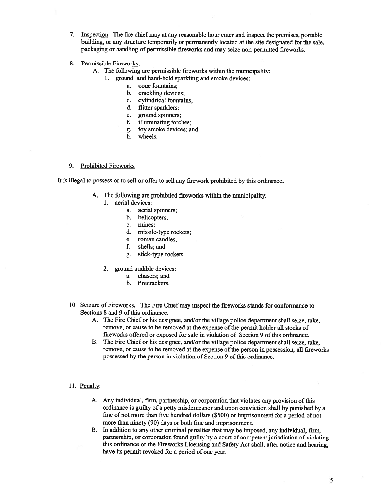- 7. Inspection: The fire chief may at any reasonable hour enter and inspect the premises, portable building, or any structure temporarily or permanently located at the site designated for the sale, packaging or handling of permissible fireworks and may seize non-permitted fireworks.
- 8. Permissible Fireworks:
	- A. The following are permissible fireworks within the municipality:
		- I. ground and hand-held sparkling and smoke devices:
			- a. cone fountains;
			- b. crackling devices;
			- c. cylindrical fountains;
			- d. flitter sparklers;
			- e. ground spinners;
			- f. illuminating torches;
			- g. toy smoke devices; and
			- h. wheels.

### 9. Prohibited Fireworks

It is illegal to possess or to sell or offer to sell any firework prohibited by this ordinance.

- A. The following are prohibited fireworks within the municipality:
	- 1. aerial devices:
		- a. aerial spinners;
		- b. helicopters;
		- c. mines;
		- d. missile-type rockets;
		- e. roman candles;
		- f. shells; and
		- g. stick-type rockets.
	- 2. ground audible devices:
		- a. chasers; and
		- b. firecrackers.
- 10. Seizure of Fireworks. The Fire Chiefmay inspect the fireworks stands for conformance to Sections 8 and 9 of this ordinance.
	- A. The Fire Chief or his designee, and/or the village police department shall seize, take, remove, or cause to be removed at the expense of the permit holder all stocks of fireworks offered or exposed for sale in violation of Section 9 of this ordinance.
	- B. The Fire Chief or his designee, and/or the village police department shall seize, take, remove, or cause to be removed at the expense of the person in possession, all fireworks possessed by the person in violation of Section 9 of this ordinance.
- 11. Penalty:
	- A. Any individual, firm, partnership, or corporation that violates any provision of this ordinance is guilty of <sup>a</sup> petty misdemeanor and upon conviction shall by punished by <sup>a</sup> fine of not more than five hundred dollars (\$500) or imprisonment for <sup>a</sup> period of not more than ninety (90) days or both fine and imprisonment.
	- B. In addition to any other criminal penalties that may be imposed, any individual, firm, partnership, or corporation found guilty by <sup>a</sup> court of competent jurisdiction of violating this ordinance or the Fireworks Licensing and Safety Act shall, after notice and hearing, have its permit revoked for <sup>a</sup> period of one year.

5